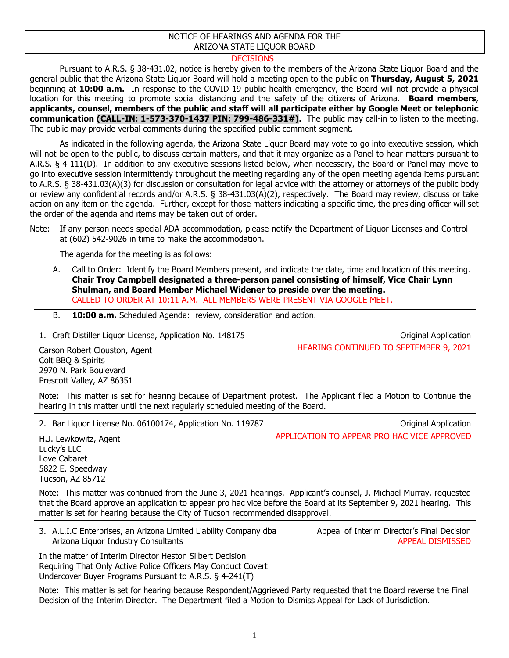## NOTICE OF HEARINGS AND AGENDA FOR THE ARIZONA STATE LIQUOR BOARD

## **DECISIONS**

Pursuant to A.R.S. § 38-431.02, notice is hereby given to the members of the Arizona State Liquor Board and the general public that the Arizona State Liquor Board will hold a meeting open to the public on **Thursday, August 5, 2021**  beginning at **10:00 a.m.** In response to the COVID-19 public health emergency, the Board will not provide a physical location for this meeting to promote social distancing and the safety of the citizens of Arizona. **Board members, applicants, counsel, members of the public and staff will all participate either by Google Meet or telephonic communication (CALL-IN: 1-573-370-1437 PIN: 799-486-331#).** The public may call-in to listen to the meeting. The public may provide verbal comments during the specified public comment segment.

As indicated in the following agenda, the Arizona State Liquor Board may vote to go into executive session, which will not be open to the public, to discuss certain matters, and that it may organize as a Panel to hear matters pursuant to A.R.S. § 4-111(D). In addition to any executive sessions listed below, when necessary, the Board or Panel may move to go into executive session intermittently throughout the meeting regarding any of the open meeting agenda items pursuant to A.R.S. § 38-431.03(A)(3) for discussion or consultation for legal advice with the attorney or attorneys of the public body or review any confidential records and/or A.R.S. § 38-431.03(A)(2), respectively. The Board may review, discuss or take action on any item on the agenda. Further, except for those matters indicating a specific time, the presiding officer will set the order of the agenda and items may be taken out of order.

The agenda for the meeting is as follows:

A. Call to Order: Identify the Board Members present, and indicate the date, time and location of this meeting. **Chair Troy Campbell designated a three-person panel consisting of himself, Vice Chair Lynn Shulman, and Board Member Michael Widener to preside over the meeting.** CALLED TO ORDER AT 10:11 A.M. ALL MEMBERS WERE PRESENT VIA GOOGLE MEET.

B. **10:00 a.m.** Scheduled Agenda: review, consideration and action.

1. Craft Distiller Liquor License, Application No. 148175 Critical Application Critical Application

HEARING CONTINUED TO SEPTEMBER 9, 2021

Carson Robert Clouston, Agent Colt BBQ & Spirits 2970 N. Park Boulevard Prescott Valley, AZ 86351

Note: This matter is set for hearing because of Department protest. The Applicant filed a Motion to Continue the hearing in this matter until the next regularly scheduled meeting of the Board.

2. Bar Liquor License No. 06100174, Application No. 119787 Channel Application Criginal Application

H.J. Lewkowitz, Agent Lucky's LLC Love Cabaret 5822 E. Speedway Tucson, AZ 85712

Note: This matter was continued from the June 3, 2021 hearings. Applicant's counsel, J. Michael Murray, requested that the Board approve an application to appear pro hac vice before the Board at its September 9, 2021 hearing. This matter is set for hearing because the City of Tucson recommended disapproval.

3. A.L.I.C Enterprises, an Arizona Limited Liability Company dba Arizona Liquor Industry Consultants

In the matter of Interim Director Heston Silbert Decision Requiring That Only Active Police Officers May Conduct Covert Undercover Buyer Programs Pursuant to A.R.S. § 4-241(T)

Note: This matter is set for hearing because Respondent/Aggrieved Party requested that the Board reverse the Final Decision of the Interim Director. The Department filed a Motion to Dismiss Appeal for Lack of Jurisdiction.

Appeal of Interim Director's Final Decision

APPEAL DISMISSED

APPLICATION TO APPEAR PRO HAC VICE APPROVED

Note: If any person needs special ADA accommodation, please notify the Department of Liquor Licenses and Control at (602) 542-9026 in time to make the accommodation.